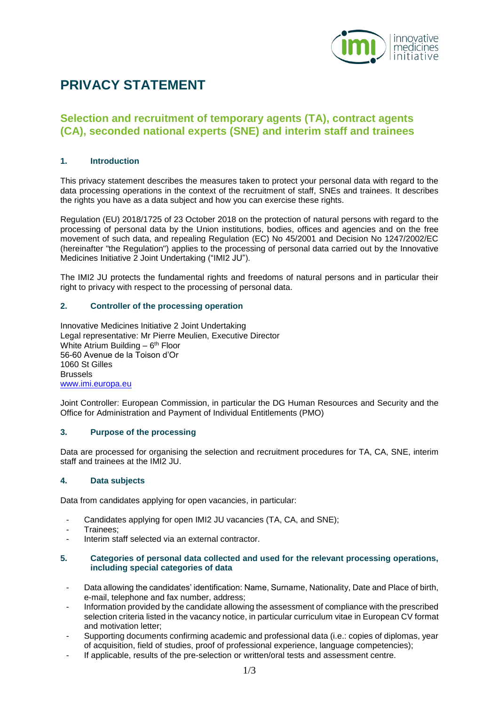

# **PRIVACY STATEMENT**

# **Selection and recruitment of temporary agents (TA), contract agents (CA), seconded national experts (SNE) and interim staff and trainees**

## **1. Introduction**

This privacy statement describes the measures taken to protect your personal data with regard to the data processing operations in the context of the recruitment of staff, SNEs and trainees. It describes the rights you have as a data subject and how you can exercise these rights.

Regulation (EU) 2018/1725 of 23 October 2018 on the protection of natural persons with regard to the processing of personal data by the Union institutions, bodies, offices and agencies and on the free movement of such data, and repealing Regulation (EC) No 45/2001 and Decision No 1247/2002/EC (hereinafter "the Regulation") applies to the processing of personal data carried out by the Innovative Medicines Initiative 2 Joint Undertaking ("IMI2 JU").

The IMI2 JU protects the fundamental rights and freedoms of natural persons and in particular their right to privacy with respect to the processing of personal data.

## **2. Controller of the processing operation**

Innovative Medicines Initiative 2 Joint Undertaking Legal representative: Mr Pierre Meulien, Executive Director White Atrium Building - 6<sup>th</sup> Floor 56-60 Avenue de la Toison d'Or 1060 St Gilles Brussels [www.imi.europa.eu](http://www.imi.europa.eu/)

Joint Controller: European Commission, in particular the DG Human Resources and Security and the Office for Administration and Payment of Individual Entitlements (PMO)

## **3. Purpose of the processing**

Data are processed for organising the selection and recruitment procedures for TA, CA, SNE, interim staff and trainees at the IMI2 JU.

## **4. Data subjects**

Data from candidates applying for open vacancies, in particular:

- Candidates applying for open IMI2 JU vacancies (TA, CA, and SNE);
- Trainees;
- Interim staff selected via an external contractor.

#### **5. Categories of personal data collected and used for the relevant processing operations, including special categories of data**

- Data allowing the candidates' identification: Name, Surname, Nationality, Date and Place of birth, e-mail, telephone and fax number, address;
- Information provided by the candidate allowing the assessment of compliance with the prescribed selection criteria listed in the vacancy notice, in particular curriculum vitae in European CV format and motivation letter;
- Supporting documents confirming academic and professional data (i.e.: copies of diplomas, year of acquisition, field of studies, proof of professional experience, language competencies);
- If applicable, results of the pre-selection or written/oral tests and assessment centre.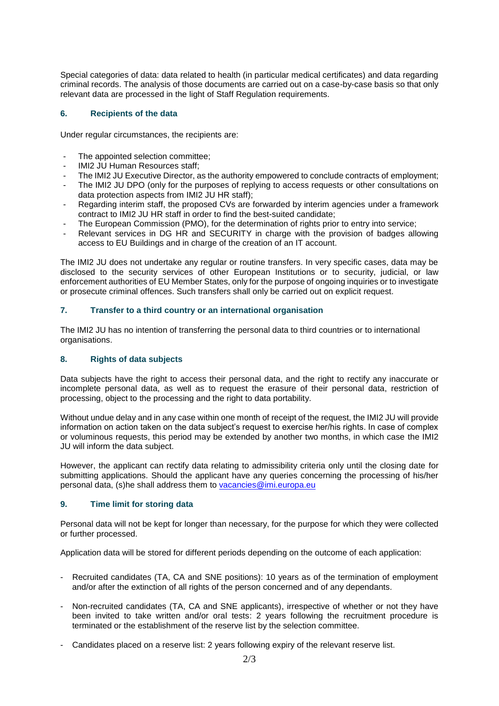Special categories of data: data related to health (in particular medical certificates) and data regarding criminal records. The analysis of those documents are carried out on a case-by-case basis so that only relevant data are processed in the light of Staff Regulation requirements.

## **6. Recipients of the data**

Under regular circumstances, the recipients are:

- The appointed selection committee;
- IMI2 JU Human Resources staff;
- The IMI2 JU Executive Director, as the authority empowered to conclude contracts of employment;
- The IMI2 JU DPO (only for the purposes of replying to access requests or other consultations on data protection aspects from IMI2 JU HR staff);
- Regarding interim staff, the proposed CVs are forwarded by interim agencies under a framework contract to IMI2 JU HR staff in order to find the best-suited candidate;
- The European Commission (PMO), for the determination of rights prior to entry into service;
- Relevant services in DG HR and SECURITY in charge with the provision of badges allowing access to EU Buildings and in charge of the creation of an IT account.

The IMI2 JU does not undertake any regular or routine transfers. In very specific cases, data may be disclosed to the security services of other European Institutions or to security, judicial, or law enforcement authorities of EU Member States, only for the purpose of ongoing inquiries or to investigate or prosecute criminal offences. Such transfers shall only be carried out on explicit request.

## **7. Transfer to a third country or an international organisation**

The IMI2 JU has no intention of transferring the personal data to third countries or to international organisations.

## **8. Rights of data subjects**

Data subjects have the right to access their personal data, and the right to rectify any inaccurate or incomplete personal data, as well as to request the erasure of their personal data, restriction of processing, object to the processing and the right to data portability.

Without undue delay and in any case within one month of receipt of the request, the IMI2 JU will provide information on action taken on the data subject's request to exercise her/his rights. In case of complex or voluminous requests, this period may be extended by another two months, in which case the IMI2 JU will inform the data subject.

However, the applicant can rectify data relating to admissibility criteria only until the closing date for submitting applications. Should the applicant have any queries concerning the processing of his/her personal data, (s)he shall address them to [vacancies@imi.europa.eu](mailto:vacancies@imi.europa.eu)

## **9. Time limit for storing data**

Personal data will not be kept for longer than necessary, for the purpose for which they were collected or further processed.

Application data will be stored for different periods depending on the outcome of each application:

- Recruited candidates (TA, CA and SNE positions): 10 years as of the termination of employment and/or after the extinction of all rights of the person concerned and of any dependants.
- Non-recruited candidates (TA, CA and SNE applicants), irrespective of whether or not they have been invited to take written and/or oral tests: 2 years following the recruitment procedure is terminated or the establishment of the reserve list by the selection committee.
- Candidates placed on a reserve list: 2 years following expiry of the relevant reserve list.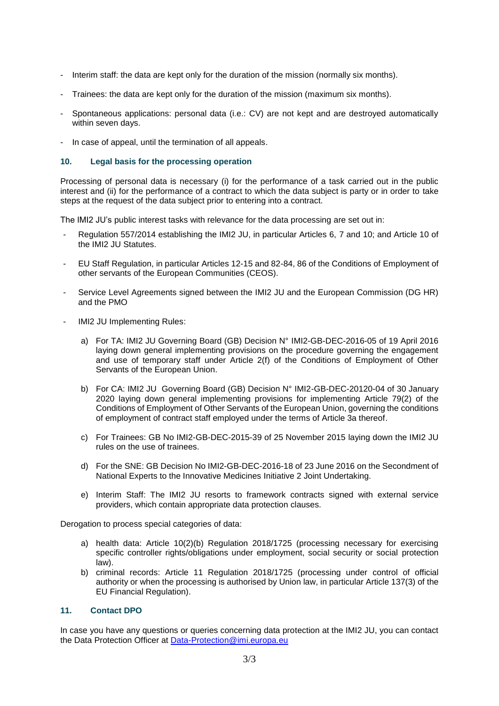- Interim staff: the data are kept only for the duration of the mission (normally six months).
- Trainees: the data are kept only for the duration of the mission (maximum six months).
- Spontaneous applications: personal data (i.e.: CV) are not kept and are destroyed automatically within seven days.
- In case of appeal, until the termination of all appeals.

#### **10. Legal basis for the processing operation**

Processing of personal data is necessary (i) for the performance of a task carried out in the public interest and (ii) for the performance of a contract to which the data subject is party or in order to take steps at the request of the data subject prior to entering into a contract.

The IMI2 JU's public interest tasks with relevance for the data processing are set out in:

- Regulation 557/2014 establishing the IMI2 JU, in particular Articles 6, 7 and 10; and Article 10 of the IMI2 JU Statutes.
- EU Staff Regulation, in particular Articles 12-15 and 82-84, 86 of the Conditions of Employment of other servants of the European Communities (CEOS).
- Service Level Agreements signed between the IMI2 JU and the European Commission (DG HR) and the PMO
- IMI2 JU Implementing Rules:
	- a) For TA: IMI2 JU Governing Board (GB) Decision N° IMI2-GB-DEC-2016-05 of 19 April 2016 laying down general implementing provisions on the procedure governing the engagement and use of temporary staff under Article 2(f) of the Conditions of Employment of Other Servants of the European Union.
	- b) For CA: IMI2 JU Governing Board (GB) Decision N° IMI2-GB-DEC-20120-04 of 30 January 2020 laying down general implementing provisions for implementing Article 79(2) of the Conditions of Employment of Other Servants of the European Union, governing the conditions of employment of contract staff employed under the terms of Article 3a thereof.
	- c) For Trainees: GB No IMI2-GB-DEC-2015-39 of 25 November 2015 laying down the IMI2 JU rules on the use of trainees.
	- d) For the SNE: GB Decision No IMI2-GB-DEC-2016-18 of 23 June 2016 on the Secondment of National Experts to the Innovative Medicines Initiative 2 Joint Undertaking.
	- e) Interim Staff: The IMI2 JU resorts to framework contracts signed with external service providers, which contain appropriate data protection clauses.

Derogation to process special categories of data:

- a) health data: Article 10(2)(b) Regulation 2018/1725 (processing necessary for exercising specific controller rights/obligations under employment, social security or social protection law).
- b) criminal records: Article 11 Regulation 2018/1725 (processing under control of official authority or when the processing is authorised by Union law, in particular Article 137(3) of the EU Financial Regulation).

#### **11. Contact DPO**

In case you have any questions or queries concerning data protection at the IMI2 JU, you can contact the Data Protection Officer at [Data-Protection@imi.europa.eu](mailto:Data-Protection@imi.europa.eu)